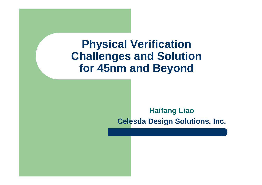#### **Physical VerificationChallenges and Solutionfor 45nm and Beyond**

#### **Haifang LiaoCelesda Design Solutions, Inc.**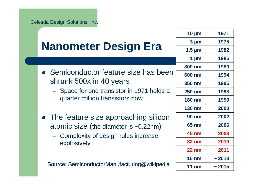|                                                                               | $10 \mu m$      | 1971  |
|-------------------------------------------------------------------------------|-----------------|-------|
|                                                                               | $3 \mu m$       | 1975  |
| <b>Nanometer Design Era</b>                                                   | $1.5 \mu m$     | 1982  |
|                                                                               | 1 $\mu$ m       | 1985  |
| • Semiconductor feature size has been                                         | 800 nm          | 1989  |
|                                                                               | 600 nm          | 1994  |
| shrunk 500x in 40 years                                                       | 350 nm          | 1995  |
| - Space for one transistor in 1971 holds a<br>quarter million transistors now | <b>250 nm</b>   | 1998  |
|                                                                               | <b>180 nm</b>   | 1999  |
|                                                                               | <b>130 nm</b>   | 2000  |
| • The feature size approaching silicon                                        | <b>90 nm</b>    | 2002  |
| atomic size (the diameter is ~0.22nm)                                         | <b>65 nm</b>    | 2006  |
| - Complexity of design rules increase                                         | <b>45 nm</b>    | 2008  |
| explosively                                                                   | <b>32 nm</b>    | 2010  |
|                                                                               | $22$ nm         | 2011  |
|                                                                               | <b>16 nm</b>    | ~2013 |
| Source: SemiconductorManufacturing@wikipedia                                  | $11 \text{ nm}$ | ~2015 |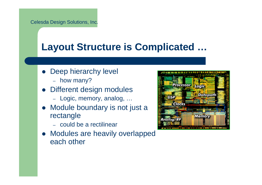#### **Layout Structure is Complicated …**

- Deep hierarchy level
	- how many?
- Different design modules
	- Logic, memory, analog, ...
- Module boundary is not just a  $\bullet$ rectangle
	- could be a rectilinear
- Modules are heavily overlapped each other

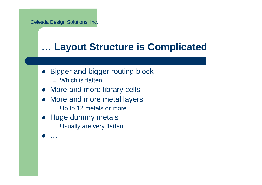#### **… Layout Structure is Complicated**

- Bigger and bigger routing block
	- Which is flatten
- More and more library cells
- More and more metal layers
	- Up to 12 metals or more
- Huge dummy metals
	- Usually are very flatten
- $\bullet$ …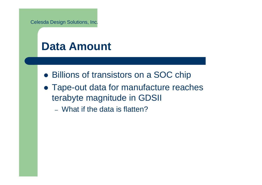#### **Data Amount**

- Billions of transistors on a SOC chip
- Tape-out data for manufacture reaches terabyte magnitude in GDSII
	- What if the data is flatten?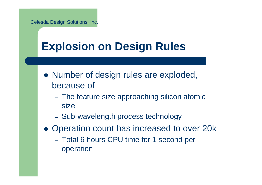## **Explosion on Design Rules**

- Number of design rules are exploded, because of
	- The feature size approaching silicon atomic size
	- Sub-wavelength process technology
- Operation count has increased to over 20k
	- Total 6 hours CPU time for 1 second per operation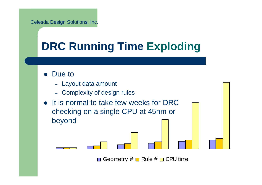# **DRC Running Time Exploding**

- $\bullet$  Due to
	- Layout data amount
	- Complexity of design rules
- It is normal to take few weeks for DRC checking on a single CPU at 45nm or beyond

Geometry  $\# \blacksquare$  Rule  $\# \blacksquare$  CPU time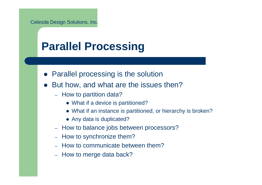## **Parallel Processing**

- **Parallel processing is the solution**
- $\bullet$  But how, and what are the issues then?
	- How to partition data?
		- What if a device is partitioned?
		- What if an instance is partitioned, or hierarchy is broken?
		- Any data is duplicated?
	- How to balance jobs between processors?
	- How to synchronize them?
	- How to communicate between them?
	- How to merge data back?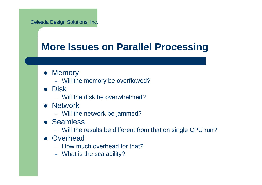#### **More Issues on Parallel Processing**

- Memory
	- Will the memory be overflowed?
- Disk
	- Will the disk be overwhelmed?
- **Network** 
	- Will the network be jammed?
- **Seamless** 
	- Will the results be different from that on single CPU run?
- Overhead
	- How much overhead for that?
	- What is the scalability?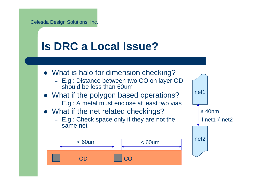## **Is DRC a Local Issue?**

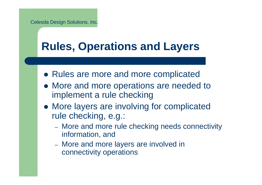## **Rules, Operations and Layers**

- Rules are more and more complicated
- More and more operations are needed to implement a rule checking
- More layers are involving for complicated rule checking, e.g.:
	- More and more rule checking needs connectivity information, and
	- More and more layers are involved in connectivity operations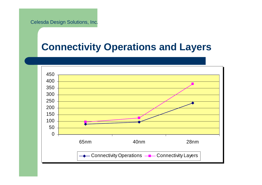#### **Connectivity Operations and Layers**

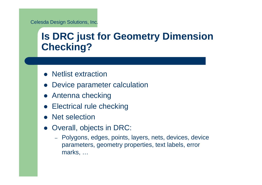#### **Is DRC just for Geometry Dimension Checking?**

- Netlist extraction
- $\bullet$ Device parameter calculation
- **Antenna checking**
- **•** Electrical rule checking
- Net selection
- Overall, objects in DRC:
	- Polygons, edges, points, layers, nets, devices, device parameters, geometry properties, text labels, errormarks, …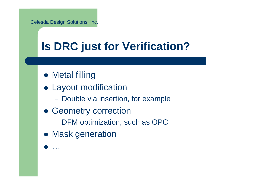## **Is DRC just for Verification?**

- Metal filling
- Layout modification
	- Double via insertion, for example
- **Geometry correction** 
	- DFM optimization, such as OPC
- **Mask generation**
- $\bullet$ …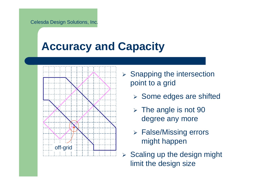## **Accuracy and Capacity**



- > Snapping the intersection point to a grid
	- Some edges are shifted
	- > The angle is not 90 degree any more
	- False/Missing errors might happen
- $\blacktriangleright$  Scaling up the design might limit the design size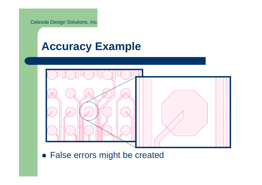### **Accuracy Example**



False errors might be created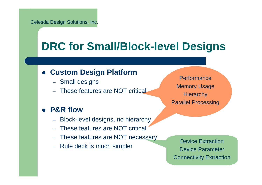## **DRC for Small/Block-level Designs**

#### **Custom Design Platform**

- Small designs
- These features are NOT critical

#### **P&R flow**

- KIOCK-– Block-level designs, no hierarchy
- These features are NOT critical
- These features are NOT necessary
- Rule deck is much simpler

**Performance** Memory Usage**Hierarchy** Parallel Processing

Device ExtractionDevice ParameterConnectivity Extraction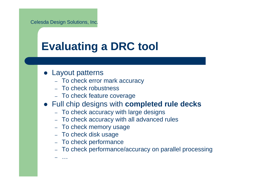## **Evaluating a DRC tool**

• Layout patterns

…

- To check error mark accuracy
- To check robustness
- To check feature coverage
- Full chip designs with **completed rule decks**
	- $\,$  To check accuracy with large designs
	- To check accuracy with all advanced rules
	- To check memory usage
	- $\,$  To check disk usage
	- To check performance
	- To check performance/accuracy on parallel processing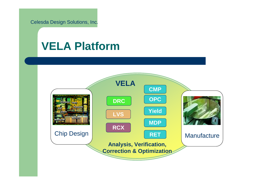#### **VELA Platform**

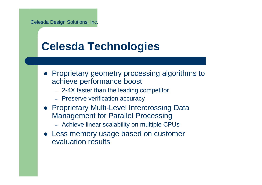## **Celesda Technologies**

- Proprietary geometry processing algorithms to achieve performance boost
	- 2-4X faster than the leading competitor
	- Preserve verification accuracy
- Proprietary Multi-Level Intercrossing Data Management for Parallel Processing
	- Achieve linear scalability on multiple CPUs
- Less memory usage based on customer evaluation results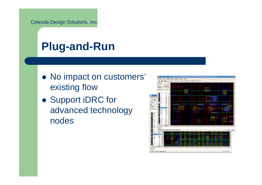## **Plug-and-Run**

- No impact on customers' existing flow
- Support iDRC for advanced technology nodes

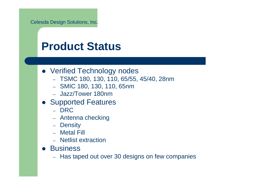### **Product Status**

- Verified Technology nodes
	- TSMC 180, 130, 110, 65/55, 45/40, 28nm
	- SMIC 180, 130, 110, 65nm
	- Jazz/Tower 180nm
- Supported Features
	- DRC
	- –– Antenna checking
	- Density
	- Metal Fill
	- Netlist extraction
- **•** Business
	- $-$  Has taped out over 30 designs on few companies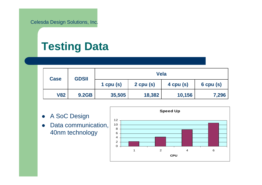## **Testing Data**

| <b>Case</b> | <b>GDSII</b> | <b>Vela</b> |               |           |               |
|-------------|--------------|-------------|---------------|-----------|---------------|
|             |              | 1 cpu $(s)$ | $2$ cpu $(s)$ | 4 cpu (s) | $6$ cpu $(s)$ |
| <b>V82</b>  | <b>9.2GB</b> | 35,505      | 18,382        | 10,156    | 7,296         |

- $\bullet$ A SoC Design
- $\bullet$  Data communication, 40nm technology